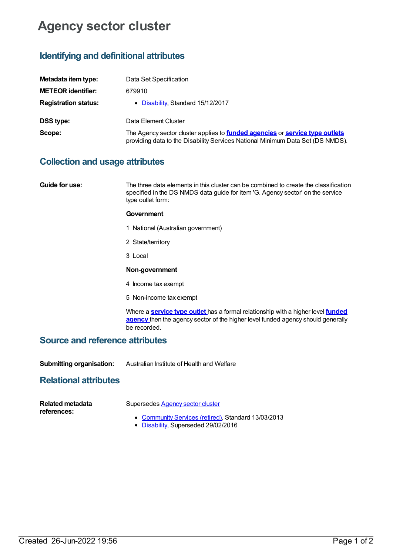# **Agency sector cluster**

# **Identifying and definitional attributes**

| Metadata item type:         | Data Set Specification                                                                                                                                                       |
|-----------------------------|------------------------------------------------------------------------------------------------------------------------------------------------------------------------------|
| <b>METEOR identifier:</b>   | 679910                                                                                                                                                                       |
| <b>Registration status:</b> | • Disability, Standard 15/12/2017                                                                                                                                            |
| <b>DSS type:</b>            | Data Element Cluster                                                                                                                                                         |
| Scope:                      | The Agency sector cluster applies to <b>funded agencies</b> or <b>service type outlets</b><br>providing data to the Disability Services National Minimum Data Set (DS NMDS). |

## **Collection and usage attributes**

**Guide for use:** The three data elements in this cluster can be combined to create the classification specified in the DS NMDS data guide for item 'G. Agency sector' on the service type outlet form:

#### **Government**

- 1 National (Australian government)
- 2 State/territory
- 3 Local

#### **Non-government**

- 4 Income tax exempt
- 5 Non-income tax exempt

Where a **[service](https://meteor.aihw.gov.au/content/501973) type outlet** has a formal [relationship](https://meteor.aihw.gov.au/content/386548) with a higher level **funded agency** then the agency sector of the higher level funded agency should generally be recorded.

#### **Source and reference attributes**

**Submitting organisation:** Australian Institute of Health and Welfare

## **Relational attributes**

| Related metadata | Supersedes Agency sector cluster                                                                                                                                                                                                                                                                                                        |
|------------------|-----------------------------------------------------------------------------------------------------------------------------------------------------------------------------------------------------------------------------------------------------------------------------------------------------------------------------------------|
| references:      | • Community Services (retired), Standard 13/03/2013                                                                                                                                                                                                                                                                                     |
|                  | $R'$ $\cdots$ $R$ $\cdots$ $\cdots$ $\cdots$ $\cdots$ $\cdots$ $\cdots$ $\cdots$ $\cdots$ $\cdots$ $\cdots$ $\cdots$ $\cdots$ $\cdots$ $\cdots$ $\cdots$ $\cdots$ $\cdots$ $\cdots$ $\cdots$ $\cdots$ $\cdots$ $\cdots$ $\cdots$ $\cdots$ $\cdots$ $\cdots$ $\cdots$ $\cdots$ $\cdots$ $\cdots$ $\cdots$ $\cdots$ $\cdots$ $\cdots$ $\$ |

• [Disability](https://meteor.aihw.gov.au/RegistrationAuthority/16), Superseded 29/02/2016